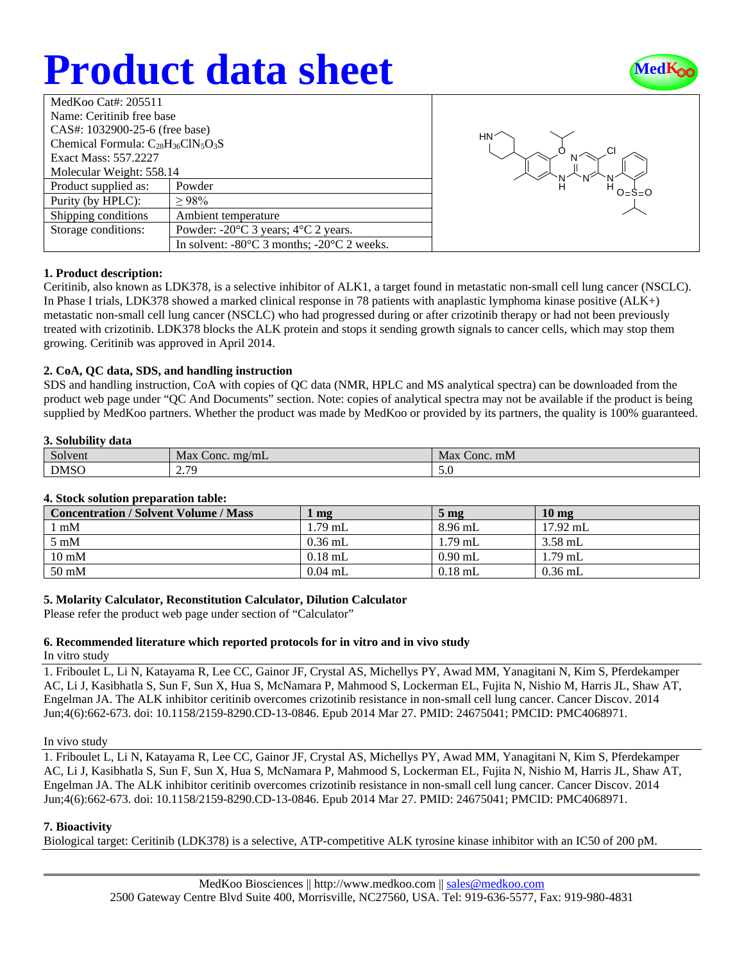# **Product data sheet**



| MedKoo Cat#: 205511<br>Name: Ceritinib free base<br>CAS#: 1032900-25-6 (free base)<br>Chemical Formula: $C_{28}H_{36}C_{18}O_3S$<br>Exact Mass: 557.2227 |                                                                | HN |
|----------------------------------------------------------------------------------------------------------------------------------------------------------|----------------------------------------------------------------|----|
| Molecular Weight: 558.14                                                                                                                                 |                                                                |    |
| Product supplied as:                                                                                                                                     | Powder                                                         |    |
| Purity (by HPLC):                                                                                                                                        | >98%                                                           |    |
| Shipping conditions                                                                                                                                      | Ambient temperature                                            |    |
| Storage conditions:                                                                                                                                      | Powder: $-20^{\circ}$ C 3 years; $4^{\circ}$ C 2 years.        |    |
|                                                                                                                                                          | In solvent: $-80^{\circ}$ C 3 months; $-20^{\circ}$ C 2 weeks. |    |



## **1. Product description:**

Ceritinib, also known as LDK378, is a selective inhibitor of ALK1, a target found in metastatic non-small cell lung cancer (NSCLC). In Phase I trials, LDK378 showed a marked clinical response in 78 patients with anaplastic lymphoma kinase positive (ALK+) metastatic non-small cell lung cancer (NSCLC) who had progressed during or after crizotinib therapy or had not been previously treated with crizotinib. LDK378 blocks the ALK protein and stops it sending growth signals to cancer cells, which may stop them growing. Ceritinib was approved in April 2014.

## **2. CoA, QC data, SDS, and handling instruction**

SDS and handling instruction, CoA with copies of QC data (NMR, HPLC and MS analytical spectra) can be downloaded from the product web page under "QC And Documents" section. Note: copies of analytical spectra may not be available if the product is being supplied by MedKoo partners. Whether the product was made by MedKoo or provided by its partners, the quality is 100% guaranteed.

### **3. Solubility data**

| Solvent     | Max<br>mg/mL<br>Conc.            | Max<br>Conc. mM |
|-------------|----------------------------------|-----------------|
| <b>DMSO</b> | 7 7Q<br>$\overline{\phantom{a}}$ | J.V             |

## **4. Stock solution preparation table:**

| <b>Concentration / Solvent Volume / Mass</b> | mg        | 5 <sub>mg</sub> | 10 <sub>mg</sub> |
|----------------------------------------------|-----------|-----------------|------------------|
| l mM                                         | 1.79 mL   | $8.96$ mL       | $17.92$ mL       |
| $5 \text{ mM}$                               | $0.36$ mL | 1.79 mL         | 3.58 mL          |
| $10 \text{ mM}$                              | $0.18$ mL | $0.90$ mL       | $1.79$ mL        |
| $50 \text{ mM}$                              | $0.04$ mL | $0.18$ mL       | $0.36$ mL        |

## **5. Molarity Calculator, Reconstitution Calculator, Dilution Calculator**

Please refer the product web page under section of "Calculator"

## **6. Recommended literature which reported protocols for in vitro and in vivo study**

In vitro study

1. Friboulet L, Li N, Katayama R, Lee CC, Gainor JF, Crystal AS, Michellys PY, Awad MM, Yanagitani N, Kim S, Pferdekamper AC, Li J, Kasibhatla S, Sun F, Sun X, Hua S, McNamara P, Mahmood S, Lockerman EL, Fujita N, Nishio M, Harris JL, Shaw AT, Engelman JA. The ALK inhibitor ceritinib overcomes crizotinib resistance in non-small cell lung cancer. Cancer Discov. 2014 Jun;4(6):662-673. doi: 10.1158/2159-8290.CD-13-0846. Epub 2014 Mar 27. PMID: 24675041; PMCID: PMC4068971.

#### In vivo study

1. Friboulet L, Li N, Katayama R, Lee CC, Gainor JF, Crystal AS, Michellys PY, Awad MM, Yanagitani N, Kim S, Pferdekamper AC, Li J, Kasibhatla S, Sun F, Sun X, Hua S, McNamara P, Mahmood S, Lockerman EL, Fujita N, Nishio M, Harris JL, Shaw AT, Engelman JA. The ALK inhibitor ceritinib overcomes crizotinib resistance in non-small cell lung cancer. Cancer Discov. 2014 Jun;4(6):662-673. doi: 10.1158/2159-8290.CD-13-0846. Epub 2014 Mar 27. PMID: 24675041; PMCID: PMC4068971.

## **7. Bioactivity**

Biological target: Ceritinib (LDK378) is a selective, ATP-competitive ALK tyrosine kinase inhibitor with an IC50 of 200 pM.